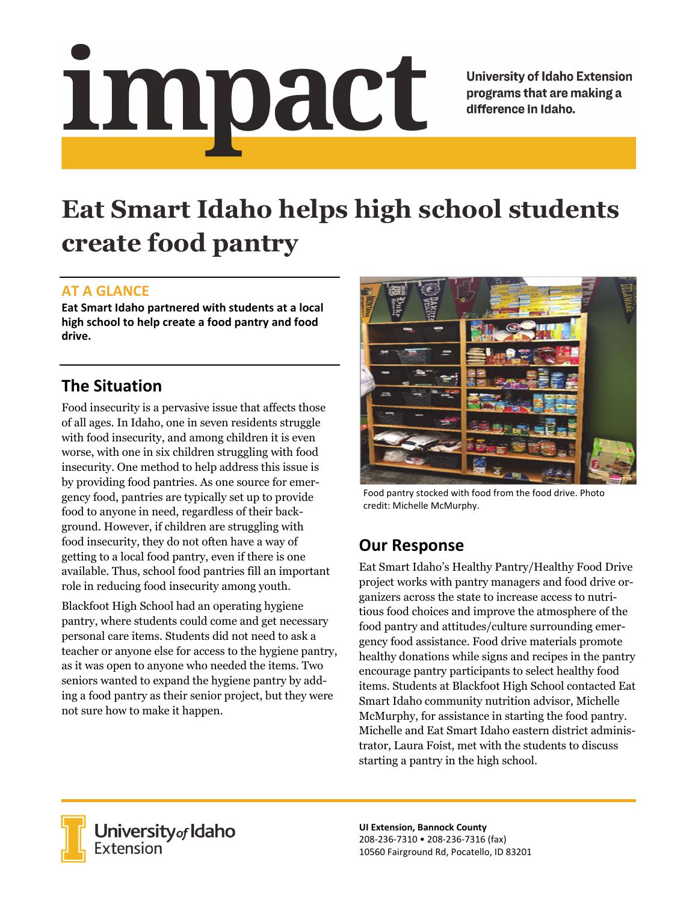# <u>impact</u>

**University of Idaho Extension** programs that are making a difference in Idaho.

# **Eat Smart Idaho helps high school students create food pantry**

### **AT A GLANCE**

**Eat Smart Idaho partnered with students at a local high school to help create a food pantry and food drive.** 

### **The Situation**

Food insecurity is a pervasive issue that affects those of all ages. In Idaho, one in seven residents struggle with food insecurity, and among children it is even worse, with one in six children struggling with food insecurity. One method to help address this issue is by providing food pantries. As one source for emergency food, pantries are typically set up to provide food to anyone in need, regardless of their background. However, if children are struggling with food insecurity, they do not often have a way of getting to a local food pantry, even if there is one available. Thus, school food pantries fill an important role in reducing food insecurity among youth.

Blackfoot High School had an operating hygiene pantry, where students could come and get necessary personal care items. Students did not need to ask a teacher or anyone else for access to the hygiene pantry, as it was open to anyone who needed the items. Two seniors wanted to expand the hygiene pantry by adding a food pantry as their senior project, but they were not sure how to make it happen.



Food pantry stocked with food from the food drive. Photo credit: Michelle McMurphy.

## **Our Response**

Eat Smart Idaho's Healthy Pantry/Healthy Food Drive project works with pantry managers and food drive organizers across the state to increase access to nutritious food choices and improve the atmosphere of the food pantry and attitudes/culture surrounding emergency food assistance. Food drive materials promote healthy donations while signs and recipes in the pantry encourage pantry participants to select healthy food items. Students at Blackfoot High School contacted Eat Smart Idaho community nutrition advisor, Michelle McMurphy, for assistance in starting the food pantry. Michelle and Eat Smart Idaho eastern district administrator, Laura Foist, met with the students to discuss starting a pantry in the high school.



**University** of Idaho<br>Extension

**UI Extension, Bannock County**  208‐236‐7310 • 208‐236‐7316 (fax) 10560 Fairground Rd, Pocatello, ID 83201